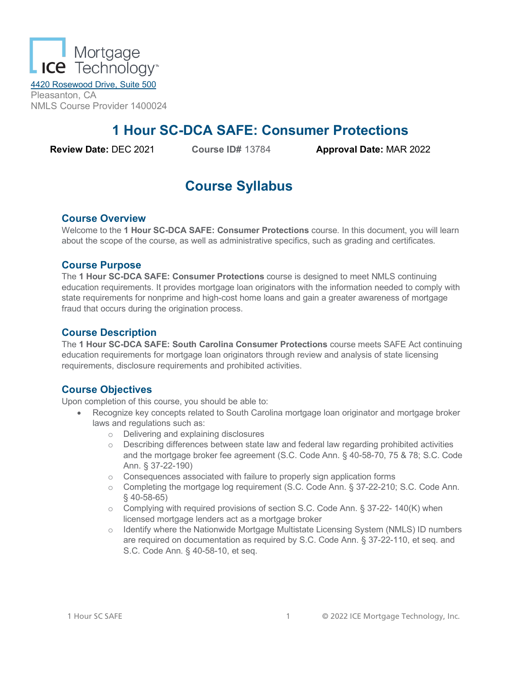

4420 Rosewood Drive, Suite 500 Pleasanton, CA NMLS Course Provider 1400024

# **1 Hour SC-DCA SAFE: Consumer Protections**

**Review Date:** DEC 2021 **Course ID#** 13784 **Approval Date:** MAR 2022

# **Course Syllabus**

## **Course Overview**

Welcome to the **1 Hour SC-DCA SAFE: Consumer Protections** course. In this document, you will learn about the scope of the course, as well as administrative specifics, such as grading and certificates.

## **Course Purpose**

The **1 Hour SC-DCA SAFE: Consumer Protections** course is designed to meet NMLS continuing education requirements. It provides mortgage loan originators with the information needed to comply with state requirements for nonprime and high-cost home loans and gain a greater awareness of mortgage fraud that occurs during the origination process.

## **Course Description**

The **1 Hour SC-DCA SAFE: South Carolina Consumer Protections** course meets SAFE Act continuing education requirements for mortgage loan originators through review and analysis of state licensing requirements, disclosure requirements and prohibited activities.

## **Course Objectives**

Upon completion of this course, you should be able to:

- Recognize key concepts related to South Carolina mortgage loan originator and mortgage broker laws and regulations such as:
	- o Delivering and explaining disclosures
	- $\circ$  Describing differences between state law and federal law regarding prohibited activities and the mortgage broker fee agreement (S.C. Code Ann. § 40-58-70, 75 & 78; S.C. Code Ann. § 37-22-190)
	- o Consequences associated with failure to properly sign application forms
	- o Completing the mortgage log requirement (S.C. Code Ann. § 37-22-210; S.C. Code Ann. § 40-58-65)
	- o Complying with required provisions of section S.C. Code Ann. § 37-22- 140(K) when licensed mortgage lenders act as a mortgage broker
	- o Identify where the Nationwide Mortgage Multistate Licensing System (NMLS) ID numbers are required on documentation as required by S.C. Code Ann. § 37-22-110, et seq. and S.C. Code Ann. § 40-58-10, et seq.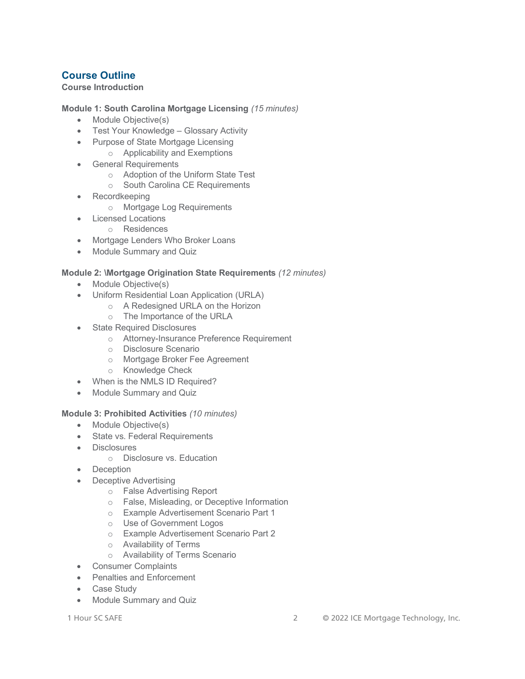## **Course Outline**

## **Course Introduction**

**Module 1: South Carolina Mortgage Licensing** *(15 minutes)*

- Module Objective(s)
- Test Your Knowledge Glossary Activity
- Purpose of State Mortgage Licensing o Applicability and Exemptions
- General Requirements
	- o Adoption of the Uniform State Test
	- o South Carolina CE Requirements
- Recordkeeping
	- o Mortgage Log Requirements
- Licensed Locations
	- o Residences
- Mortgage Lenders Who Broker Loans
- Module Summary and Quiz

### **Module 2: \Mortgage Origination State Requirements** *(12 minutes)*

- Module Objective(s)
- Uniform Residential Loan Application (URLA)
	- o A Redesigned URLA on the Horizon
		- o The Importance of the URLA
- **State Required Disclosures** 
	- o Attorney-Insurance Preference Requirement
	- o Disclosure Scenario
	- o Mortgage Broker Fee Agreement
	- o Knowledge Check
- When is the NMLS ID Required?
- Module Summary and Quiz

#### **Module 3: Prohibited Activities** *(10 minutes)*

- Module Objective(s)
- State vs. Federal Requirements
- Disclosures
	- o Disclosure vs. Education
- Deception
- Deceptive Advertising
	- o False Advertising Report
	- o False, Misleading, or Deceptive Information
	- o Example Advertisement Scenario Part 1
	- o Use of Government Logos
	- o Example Advertisement Scenario Part 2
	- o Availability of Terms
	- o Availability of Terms Scenario
- Consumer Complaints
- Penalties and Enforcement
- Case Study
- Module Summary and Quiz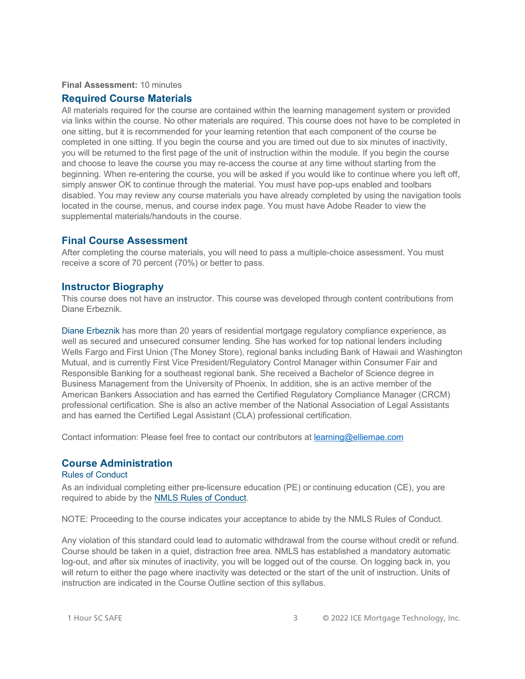#### **Final Assessment:** 10 minutes

#### **Required Course Materials**

All materials required for the course are contained within the learning management system or provided via links within the course. No other materials are required. This course does not have to be completed in one sitting, but it is recommended for your learning retention that each component of the course be completed in one sitting. If you begin the course and you are timed out due to six minutes of inactivity, you will be returned to the first page of the unit of instruction within the module. If you begin the course and choose to leave the course you may re-access the course at any time without starting from the beginning. When re-entering the course, you will be asked if you would like to continue where you left off, simply answer OK to continue through the material. You must have pop-ups enabled and toolbars disabled. You may review any course materials you have already completed by using the navigation tools located in the course, menus, and course index page. You must have Adobe Reader to view the supplemental materials/handouts in the course.

### **Final Course Assessment**

After completing the course materials, you will need to pass a multiple-choice assessment. You must receive a score of 70 percent (70%) or better to pass.

#### **Instructor Biography**

This course does not have an instructor. This course was developed through content contributions from Diane Erbeznik.

Diane Erbeznik has more than 20 years of residential mortgage regulatory compliance experience, as well as secured and unsecured consumer lending. She has worked for top national lenders including Wells Fargo and First Union (The Money Store), regional banks including Bank of Hawaii and Washington Mutual, and is currently First Vice President/Regulatory Control Manager within Consumer Fair and Responsible Banking for a southeast regional bank. She received a Bachelor of Science degree in Business Management from the University of Phoenix. In addition, she is an active member of the American Bankers Association and has earned the Certified Regulatory Compliance Manager (CRCM) professional certification. She is also an active member of the National Association of Legal Assistants and has earned the Certified Legal Assistant (CLA) professional certification.

Contact information: Please feel free to contact our contributors at [learning@elliemae.com](mailto:learning@elliemae.com)

### **Course Administration**

## Rules of Conduct

As an individual completing either pre-licensure education (PE) or continuing education (CE), you are required to abide by the [NMLS Rules of Conduct.](https://mortgage.nationwidelicensingsystem.org/courseprovider/Course%20Provider%20Resources/Rules%20of%20Conduct%20for%20NMLS%20Approved2.pdf)

NOTE: Proceeding to the course indicates your acceptance to abide by the NMLS Rules of Conduct.

Any violation of this standard could lead to automatic withdrawal from the course without credit or refund. Course should be taken in a quiet, distraction free area. NMLS has established a mandatory automatic log-out, and after six minutes of inactivity, you will be logged out of the course. On logging back in, you will return to either the page where inactivity was detected or the start of the unit of instruction. Units of instruction are indicated in the Course Outline section of this syllabus.